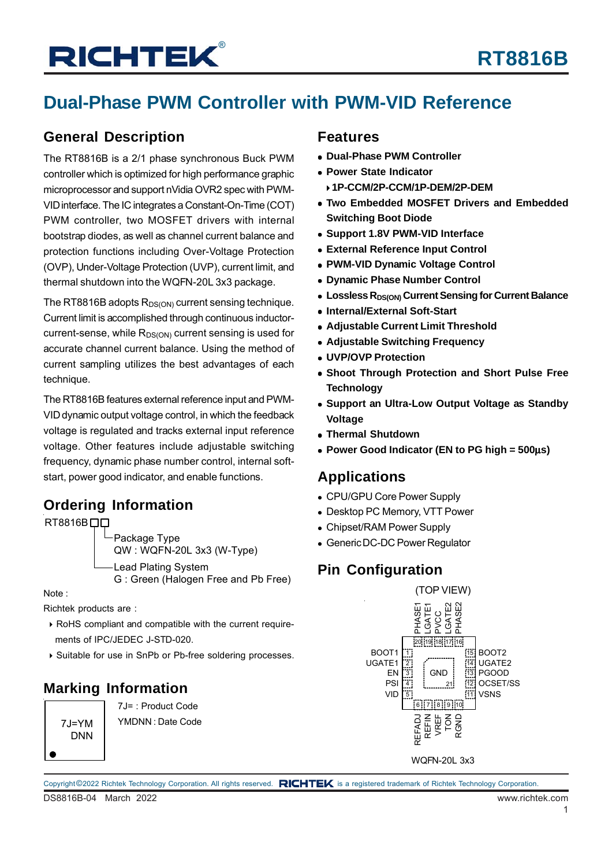## **Dual-Phase PWM Controller with PWM-VID Reference**

### **General Description**

The RT8816B is a 2/1 phase synchronous Buck PWM controller which is optimized for high performance graphic microprocessor and support nVidia OVR2 spec with PWM-VID interface. The IC integrates a Constant-On-Time (COT) PWM controller, two MOSFET drivers with internal bootstrap diodes, as well as channel current balance and protection functions including Over-Voltage Protection (OVP), Under-Voltage Protection (UVP), current limit, and thermal shutdown into the WQFN-20L 3x3 package.

The RT8816B adopts  $R_{DS(ON)}$  current sensing technique. Current limit is accomplished through continuous inductorcurrent-sense, while  $R_{DS(ON)}$  current sensing is used for accurate channel current balance. Using the method of current sampling utilizes the best advantages of each technique.

The RT8816B features external reference input and PWM-VID dynamic output voltage control, in which the feedback voltage is regulated and tracks external input reference voltage. Other features include adjustable switching frequency, dynamic phase number control, internal softstart, power good indicator, and enable functions.

### **Ordering Information**

RT8816B<sub>DD</sub>

Package Type QW : WQFN-20L 3x3 (W-Type) Lead Plating System G : Green (Halogen Free and Pb Free)

Note :

Richtek products are :

- RoHS compliant and compatible with the current require ments of IPC/JEDEC J-STD-020.
- Suitable for use in SnPb or Pb-free soldering processes.

### **Marking Information**

 $7.I=YM$ DNN

7J= : Product Code YMDNN : Date Code

### **Features**

- **Dual-Phase PWM Controller**
- **Power State Indicator**
- **1P-CCM/2P-CCM/1P-DEM/2P-DEM**
- **Two Embedded MOSFET Drivers and Embedded Switching Boot Diode**
- **Support 1.8V PWM-VID Interface**
- **External Reference Input Control**
- **PWM-VID Dynamic Voltage Control**
- **Dynamic Phase Number Control**
- **Lossless R<sub>DS(ON)</sub> Current Sensing for Current Balance**
- **Internal/External Soft-Start**
- **Adjustable Current Limit Threshold**
- **Adjustable Switching Frequency**
- **UVP/OVP Protection**
- **Shoot Through Protection and Short Pulse Free Technology**
- **Support an Ultra-Low Output Voltage as Standby Voltage**
- **Thermal Shutdown**
- **Power Good Indicator (EN to PG high = 500**μ**s)**

### **Applications**

- CPU/GPU Core Power Supply
- Desktop PC Memory, VTT Power
- Chipset/RAM Power Supply
- Generic DC-DC Power Regulator

### **Pin Configuration**



WQFN-20L 3x3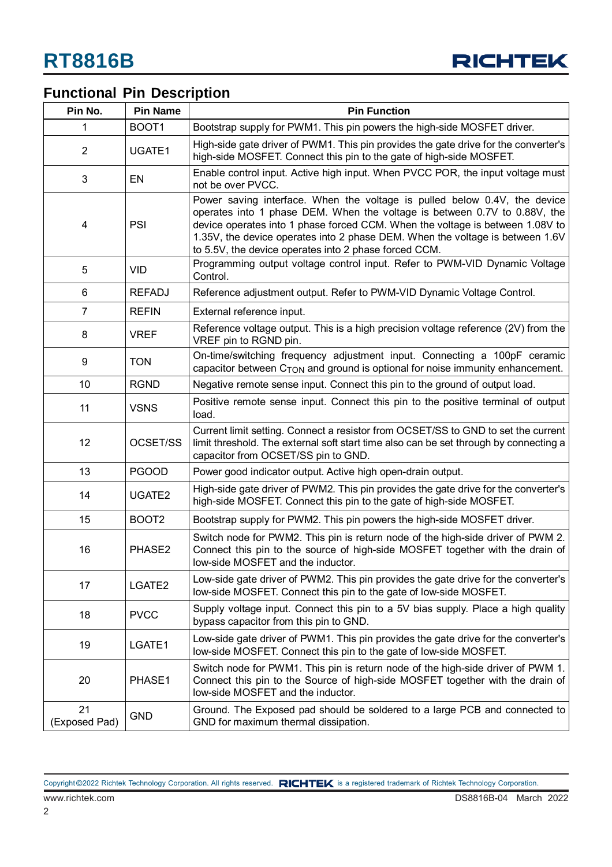

## **Functional Pin Description**

| Pin No.             | <b>Pin Name</b>   | <b>Pin Function</b>                                                                                                                                                                                                                                                                                                                                                               |  |  |
|---------------------|-------------------|-----------------------------------------------------------------------------------------------------------------------------------------------------------------------------------------------------------------------------------------------------------------------------------------------------------------------------------------------------------------------------------|--|--|
| 1                   | BOOT1             | Bootstrap supply for PWM1. This pin powers the high-side MOSFET driver.                                                                                                                                                                                                                                                                                                           |  |  |
| $\overline{2}$      | UGATE1            | High-side gate driver of PWM1. This pin provides the gate drive for the converter's<br>high-side MOSFET. Connect this pin to the gate of high-side MOSFET.                                                                                                                                                                                                                        |  |  |
| 3                   | EN                | Enable control input. Active high input. When PVCC POR, the input voltage must<br>not be over PVCC.                                                                                                                                                                                                                                                                               |  |  |
| 4                   | PSI               | Power saving interface. When the voltage is pulled below 0.4V, the device<br>operates into 1 phase DEM. When the voltage is between 0.7V to 0.88V, the<br>device operates into 1 phase forced CCM. When the voltage is between 1.08V to<br>1.35V, the device operates into 2 phase DEM. When the voltage is between 1.6V<br>to 5.5V, the device operates into 2 phase forced CCM. |  |  |
| 5                   | <b>VID</b>        | Programming output voltage control input. Refer to PWM-VID Dynamic Voltage<br>Control.                                                                                                                                                                                                                                                                                            |  |  |
| 6                   | <b>REFADJ</b>     | Reference adjustment output. Refer to PWM-VID Dynamic Voltage Control.                                                                                                                                                                                                                                                                                                            |  |  |
| 7                   | <b>REFIN</b>      | External reference input.                                                                                                                                                                                                                                                                                                                                                         |  |  |
| 8                   | <b>VREF</b>       | Reference voltage output. This is a high precision voltage reference (2V) from the<br>VREF pin to RGND pin.                                                                                                                                                                                                                                                                       |  |  |
| 9                   | <b>TON</b>        | On-time/switching frequency adjustment input. Connecting a 100pF ceramic<br>capacitor between C <sub>TON</sub> and ground is optional for noise immunity enhancement.                                                                                                                                                                                                             |  |  |
| 10                  | <b>RGND</b>       | Negative remote sense input. Connect this pin to the ground of output load.                                                                                                                                                                                                                                                                                                       |  |  |
| 11                  | <b>VSNS</b>       | Positive remote sense input. Connect this pin to the positive terminal of output<br>load.                                                                                                                                                                                                                                                                                         |  |  |
| 12                  | OCSET/SS          | Current limit setting. Connect a resistor from OCSET/SS to GND to set the current<br>limit threshold. The external soft start time also can be set through by connecting a<br>capacitor from OCSET/SS pin to GND.                                                                                                                                                                 |  |  |
| 13                  | <b>PGOOD</b>      | Power good indicator output. Active high open-drain output.                                                                                                                                                                                                                                                                                                                       |  |  |
| 14                  | UGATE2            | High-side gate driver of PWM2. This pin provides the gate drive for the converter's<br>high-side MOSFET. Connect this pin to the gate of high-side MOSFET.                                                                                                                                                                                                                        |  |  |
| 15                  | BOOT <sub>2</sub> | Bootstrap supply for PWM2. This pin powers the high-side MOSFET driver.                                                                                                                                                                                                                                                                                                           |  |  |
| 16                  | PHASE2            | Switch node for PWM2. This pin is return node of the high-side driver of PWM 2.<br>Connect this pin to the source of high-side MOSFET together with the drain of<br>low-side MOSFET and the inductor.                                                                                                                                                                             |  |  |
| 17                  | LGATE2            | Low-side gate driver of PWM2. This pin provides the gate drive for the converter's<br>low-side MOSFET. Connect this pin to the gate of low-side MOSFET.                                                                                                                                                                                                                           |  |  |
| 18                  | <b>PVCC</b>       | Supply voltage input. Connect this pin to a 5V bias supply. Place a high quality<br>bypass capacitor from this pin to GND.                                                                                                                                                                                                                                                        |  |  |
| 19                  | LGATE1            | Low-side gate driver of PWM1. This pin provides the gate drive for the converter's<br>low-side MOSFET. Connect this pin to the gate of low-side MOSFET.                                                                                                                                                                                                                           |  |  |
| 20                  | PHASE1            | Switch node for PWM1. This pin is return node of the high-side driver of PWM 1.<br>Connect this pin to the Source of high-side MOSFET together with the drain of<br>low-side MOSFET and the inductor.                                                                                                                                                                             |  |  |
| 21<br>(Exposed Pad) | <b>GND</b>        | Ground. The Exposed pad should be soldered to a large PCB and connected to<br>GND for maximum thermal dissipation.                                                                                                                                                                                                                                                                |  |  |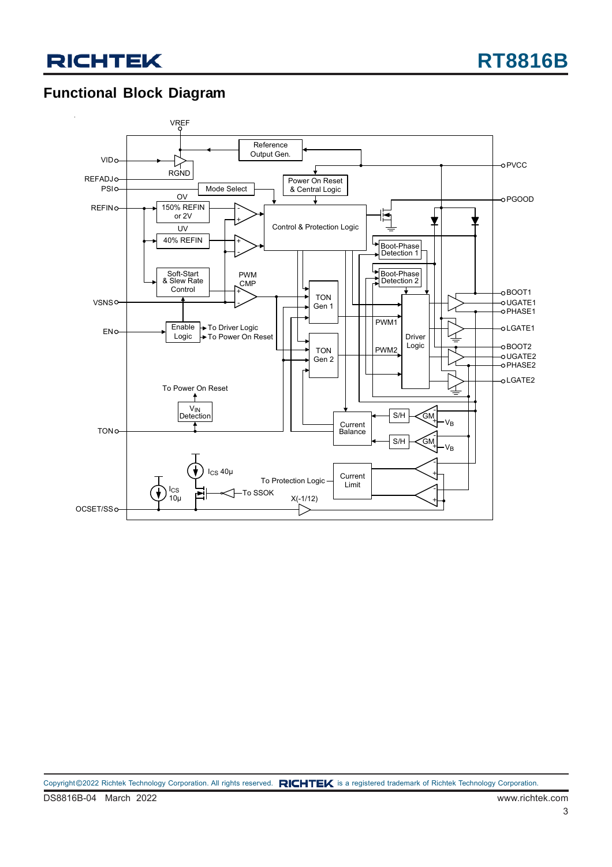### **Functional Block Diagram**

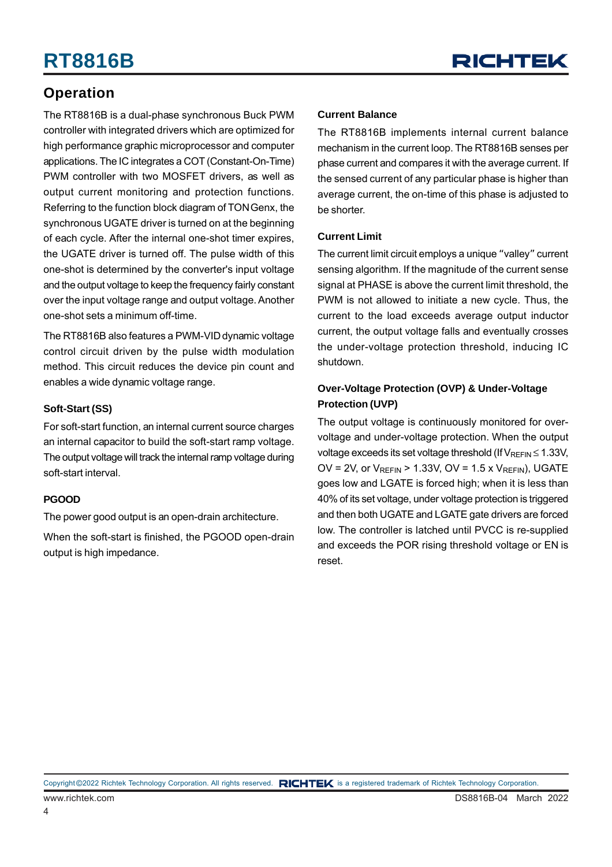### **Operation**

The RT8816B is a dual-phase synchronous Buck PWM controller with integrated drivers which are optimized for high performance graphic microprocessor and computer applications. The IC integrates a COT (Constant-On-Time) PWM controller with two MOSFET drivers, as well as output current monitoring and protection functions. Referring to the function block diagram of TON Genx, the synchronous UGATE driver is turned on at the beginning of each cycle. After the internal one-shot timer expires, the UGATE driver is turned off. The pulse width of this one-shot is determined by the converter's input voltage and the output voltage to keep the frequency fairly constant over the input voltage range and output voltage. Another one-shot sets a minimum off-time.

The RT8816B also features a PWM-VID dynamic voltage control circuit driven by the pulse width modulation method. This circuit reduces the device pin count and enables a wide dynamic voltage range.

#### **Soft-Start (SS)**

For soft-start function, an internal current source charges an internal capacitor to build the soft-start ramp voltage. The output voltage will track the internal ramp voltage during soft-start interval.

#### **PGOOD**

The power good output is an open-drain architecture.

When the soft-start is finished, the PGOOD open-drain output is high impedance.

#### **Current Balance**

The RT8816B implements internal current balance mechanism in the current loop. The RT8816B senses per phase current and compares it with the average current. If the sensed current of any particular phase is higher than average current, the on-time of this phase is adjusted to be shorter.

#### **Current Limit**

The current limit circuit employs a unique "valley" current sensing algorithm. If the magnitude of the current sense signal at PHASE is above the current limit threshold, the PWM is not allowed to initiate a new cycle. Thus, the current to the load exceeds average output inductor current, the output voltage falls and eventually crosses the under-voltage protection threshold, inducing IC shutdown.

#### **Over-Voltage Protection (OVP) & Under-Voltage Protection (UVP)**

The output voltage is continuously monitored for overvoltage and under-voltage protection. When the output voltage exceeds its set voltage threshold (If  $V_{REFIN} \le 1.33V$ , OV = 2V, or  $V_{RFFIN}$  > 1.33V, OV = 1.5 x  $V_{RFFIN}$ ), UGATE goes low and LGATE is forced high; when it is less than 40% of its set voltage, under voltage protection is triggered and then both UGATE and LGATE gate drivers are forced low. The controller is latched until PVCC is re-supplied and exceeds the POR rising threshold voltage or EN is reset.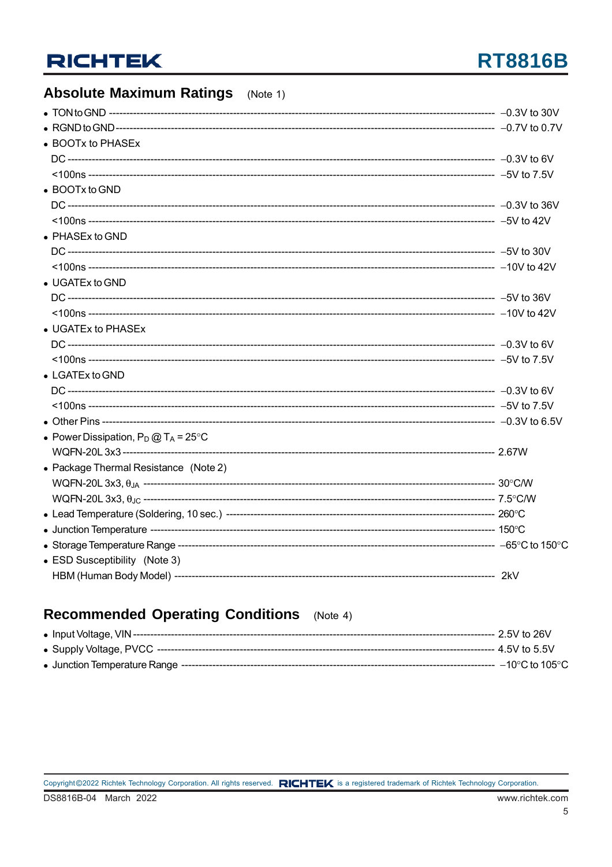## **RT8816B**

## **Absolute Maximum Ratings** (Note 1)

| • BOOTx to PHASEx                              |  |
|------------------------------------------------|--|
|                                                |  |
|                                                |  |
| $\bullet$ BOOTx to GND                         |  |
|                                                |  |
|                                                |  |
| $\bullet$ PHASEx to GND                        |  |
|                                                |  |
|                                                |  |
| • UGATEx to GND                                |  |
|                                                |  |
|                                                |  |
| • UGATEx to PHASEx                             |  |
|                                                |  |
|                                                |  |
| $\bullet$ LGATEx to GND                        |  |
|                                                |  |
|                                                |  |
|                                                |  |
| • Power Dissipation, $P_D @ T_A = 25^{\circ}C$ |  |
|                                                |  |
| • Package Thermal Resistance (Note 2)          |  |
|                                                |  |
|                                                |  |
|                                                |  |
|                                                |  |
|                                                |  |
| • ESD Susceptibility (Note 3)                  |  |
|                                                |  |
|                                                |  |

### Recommended Operating Conditions (Note 4)

|  | ---- 2.5V to 26V         |
|--|--------------------------|
|  |                          |
|  | $\cdot$ –10°C to 105°C . |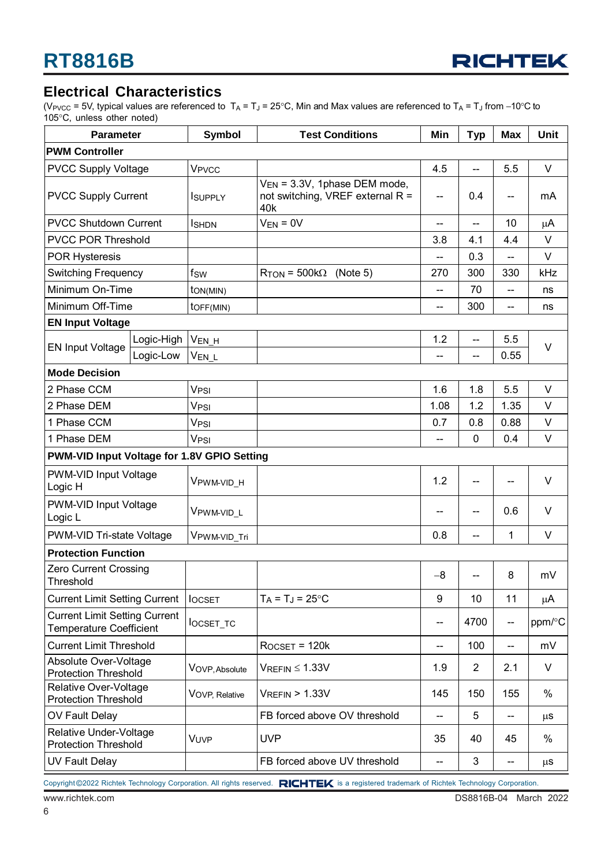

#### **Electrical Characteristics**

(V<sub>PVCC</sub> = 5V, typical values are referenced to T<sub>A</sub> = T<sub>J</sub> = 25°C, Min and Max values are referenced to T<sub>A</sub> = T<sub>J</sub> from −10°C to 105°C, unless other noted)

| <b>Parameter</b>                                                       | <b>Symbol</b>           | <b>Test Conditions</b>                                                       | Min                                 | <b>Typ</b>               | <b>Max</b>                          | Unit    |  |
|------------------------------------------------------------------------|-------------------------|------------------------------------------------------------------------------|-------------------------------------|--------------------------|-------------------------------------|---------|--|
| <b>PWM Controller</b>                                                  |                         |                                                                              |                                     |                          |                                     |         |  |
| <b>PVCC Supply Voltage</b>                                             | <b>V<sub>PVCC</sub></b> |                                                                              | 4.5                                 | $\overline{\phantom{a}}$ | 5.5                                 | V       |  |
| <b>PVCC Supply Current</b>                                             | <b>I</b> SUPPLY         | $V_{EN}$ = 3.3V, 1phase DEM mode,<br>not switching, VREF external R =<br>40k | --                                  | 0.4                      | $-$                                 | mA      |  |
| <b>PVCC Shutdown Current</b>                                           | <b>I</b> SHDN           | $V_{EN} = 0V$                                                                | $-$                                 | $\overline{\phantom{a}}$ | 10                                  | μA      |  |
| <b>PVCC POR Threshold</b>                                              |                         |                                                                              | 3.8                                 | 4.1                      | 4.4                                 | V       |  |
| <b>POR Hysteresis</b>                                                  |                         |                                                                              | $\overline{\phantom{a}}$            | 0.3                      | $-$                                 | $\vee$  |  |
| <b>Switching Frequency</b>                                             | fsw                     | $R_{TON}$ = 500k $\Omega$ (Note 5)                                           | 270                                 | 300                      | 330                                 | kHz     |  |
| Minimum On-Time                                                        | ton(MIN)                |                                                                              | --                                  | 70                       | $\overline{\phantom{a}}$            | ns      |  |
| Minimum Off-Time                                                       | $to$ $F(MIN)$           |                                                                              | --                                  | 300                      | $\overline{\phantom{a}}$            | ns      |  |
| <b>EN Input Voltage</b>                                                |                         |                                                                              |                                     |                          |                                     |         |  |
| Logic-High                                                             | V <sub>EN_H</sub>       |                                                                              | 1.2                                 | $\overline{\phantom{a}}$ | 5.5                                 | V       |  |
| <b>EN Input Voltage</b><br>Logic-Low                                   | V <sub>EN_L</sub>       |                                                                              | --                                  | $\overline{\phantom{a}}$ | 0.55                                |         |  |
| <b>Mode Decision</b>                                                   |                         |                                                                              |                                     |                          |                                     |         |  |
| 2 Phase CCM                                                            | V <sub>PSI</sub>        |                                                                              | 1.6                                 | 1.8                      | 5.5                                 | V       |  |
| 2 Phase DEM                                                            | V <sub>PSI</sub>        |                                                                              | 1.08                                | 1.2                      | 1.35                                | $\vee$  |  |
| 1 Phase CCM                                                            | V <sub>PSI</sub>        |                                                                              | 0.7                                 | 0.8                      | 0.88                                | V       |  |
| 1 Phase DEM                                                            | V <sub>PSI</sub>        |                                                                              | --                                  | $\mathbf 0$              | 0.4                                 | $\vee$  |  |
| PWM-VID Input Voltage for 1.8V GPIO Setting                            |                         |                                                                              |                                     |                          |                                     |         |  |
| PWM-VID Input Voltage<br>Logic H                                       | VPWM-VID_H              |                                                                              | 1.2                                 | $\overline{\phantom{m}}$ | $-$                                 | V       |  |
| PWM-VID Input Voltage<br>Logic L                                       | VPWM-VID_L              |                                                                              |                                     | --                       | 0.6                                 | V       |  |
| PWM-VID Tri-state Voltage                                              | VPWM-VID_Tri            |                                                                              | 0.8                                 | $-$                      | 1                                   | $\vee$  |  |
| <b>Protection Function</b>                                             |                         |                                                                              |                                     |                          |                                     |         |  |
| Zero Current Crossing<br>Threshold                                     |                         |                                                                              | $-8$                                | --                       | 8                                   | mV      |  |
| <b>Current Limit Setting Current</b>                                   | <b>IOCSET</b>           | $T_A = T_J = 25$ °C                                                          | 9                                   | 10                       | 11                                  | μA      |  |
| <b>Current Limit Setting Current</b><br><b>Temperature Coefficient</b> | locset_tc               |                                                                              | --                                  | 4700                     | $\overline{\phantom{m}}$            | ppm/°C  |  |
| <b>Current Limit Threshold</b>                                         |                         | $R$ OCSET = 120 $k$                                                          | $-$                                 | 100                      | $\overline{\phantom{a}}$            | mV      |  |
| Absolute Over-Voltage<br><b>Protection Threshold</b>                   | VOVP, Absolute          | $V_{REFIN} \leq 1.33V$                                                       | 1.9                                 | $\overline{2}$           | 2.1                                 | V       |  |
| Relative Over-Voltage<br><b>Protection Threshold</b>                   | VOVP, Relative          | $V_{REFIN}$ > 1.33V                                                          | 145                                 | 150                      | 155                                 | %       |  |
| OV Fault Delay                                                         |                         | FB forced above OV threshold                                                 | $\overline{\phantom{a}}$            | 5                        | $\overline{\phantom{a}}$            | μS      |  |
| Relative Under-Voltage<br><b>Protection Threshold</b>                  | VUVP                    | <b>UVP</b>                                                                   | 35                                  | 40                       | 45                                  | %       |  |
| <b>UV Fault Delay</b>                                                  |                         | FB forced above UV threshold                                                 | $\hspace{0.05cm}$ $\hspace{0.05cm}$ | 3                        | $\hspace{0.05cm}$ $\hspace{0.05cm}$ | $\mu$ S |  |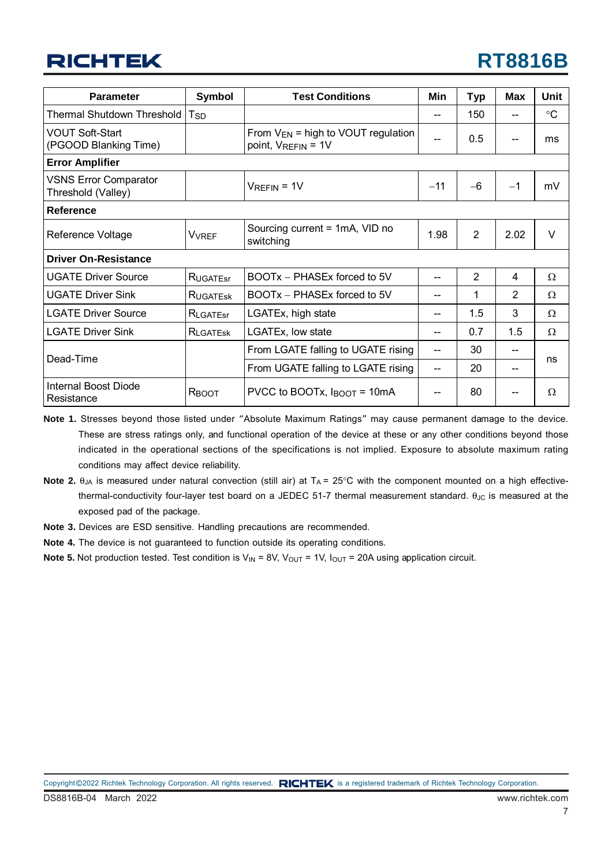| <b>Parameter</b>                                                    | Symbol                                                        | <b>Test Conditions</b>                      | Min   | <b>Typ</b>     | <b>Max</b>     | Unit            |
|---------------------------------------------------------------------|---------------------------------------------------------------|---------------------------------------------|-------|----------------|----------------|-----------------|
| Thermal Shutdown Threshold                                          | $T_{SD}$                                                      |                                             |       | 150            |                | $\rm ^{\circ}C$ |
| <b>VOUT Soft-Start</b><br>(PGOOD Blanking Time)                     | From $V_{EN}$ = high to VOUT regulation<br>point, VREFIN = 1V |                                             |       | 0.5            |                | ms              |
| <b>Error Amplifier</b>                                              |                                                               |                                             |       |                |                |                 |
| <b>VSNS Error Comparator</b><br>Threshold (Valley)                  |                                                               | $V_{REFIN} = 1V$                            | $-11$ | $-6$           | $-1$           | mV              |
| <b>Reference</b>                                                    |                                                               |                                             |       |                |                |                 |
| Reference Voltage                                                   | <b>V</b> VREF                                                 | Sourcing current = 1mA, VID no<br>switching | 1.98  | $\overline{2}$ | 2.02           | $\vee$          |
| <b>Driver On-Resistance</b>                                         |                                                               |                                             |       |                |                |                 |
| <b>UGATE Driver Source</b>                                          | <b>RUGATEST</b>                                               | BOOTx - PHASEx forced to 5V                 |       | $\overline{2}$ | 4              | Ω               |
| <b>UGATE Driver Sink</b><br>BOOTx - PHASEx forced to 5V<br>RUGATESK |                                                               |                                             |       | 1              | $\overline{2}$ | Ω               |
| <b>LGATE Driver Source</b><br>LGATEx, high state<br>RLGATEST        |                                                               |                                             |       | 1.5            | 3              | Ω               |
| <b>LGATE Driver Sink</b><br>LGATEx, low state<br>RLGATESK           |                                                               | --                                          | 0.7   | 1.5            | Ω              |                 |
| Dead-Time                                                           |                                                               | From LGATE falling to UGATE rising          |       | 30             |                |                 |
|                                                                     |                                                               | From UGATE falling to LGATE rising          | --    | 20             | --             | ns              |
| Internal Boost Diode<br>Resistance                                  | PVCC to BOOTx, $I_{\text{BOOT}} = 10 \text{mA}$<br>RBOOT      |                                             |       | 80             |                | Ω               |

**Note 1.** Stresses beyond those listed under "Absolute Maximum Ratings" may cause permanent damage to the device. These are stress ratings only, and functional operation of the device at these or any other conditions beyond those indicated in the operational sections of the specifications is not implied. Exposure to absolute maximum rating conditions may affect device reliability.

- **Note 2.**  $\theta_{JA}$  is measured under natural convection (still air) at  $T_A = 25^\circ$ C with the component mounted on a high effectivethermal-conductivity four-layer test board on a JEDEC 51-7 thermal measurement standard.  $θ_{JC}$  is measured at the exposed pad of the package.
- **Note 3.** Devices are ESD sensitive. Handling precautions are recommended.
- **Note 4.** The device is not guaranteed to function outside its operating conditions.
- **Note 5.** Not production tested. Test condition is  $V_{\text{IN}} = 8V$ ,  $V_{\text{OUT}} = 1V$ ,  $I_{\text{OUT}} = 20A$  using application circuit.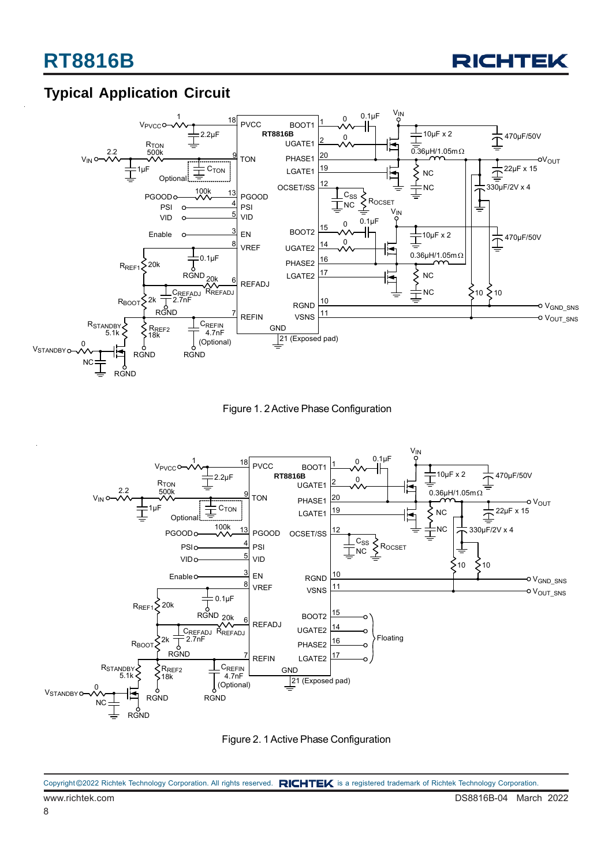

### **Typical Application Circuit**



Figure 1. 2 Active Phase Configuration



Figure 2. 1 Active Phase Configuration

www.richtek.com DS8816B-04 March 2022 Copyright ©2022 Richtek Technology Corporation. All rights reserved. RICHTEK is a registered trademark of Richtek Technology Corporation.

8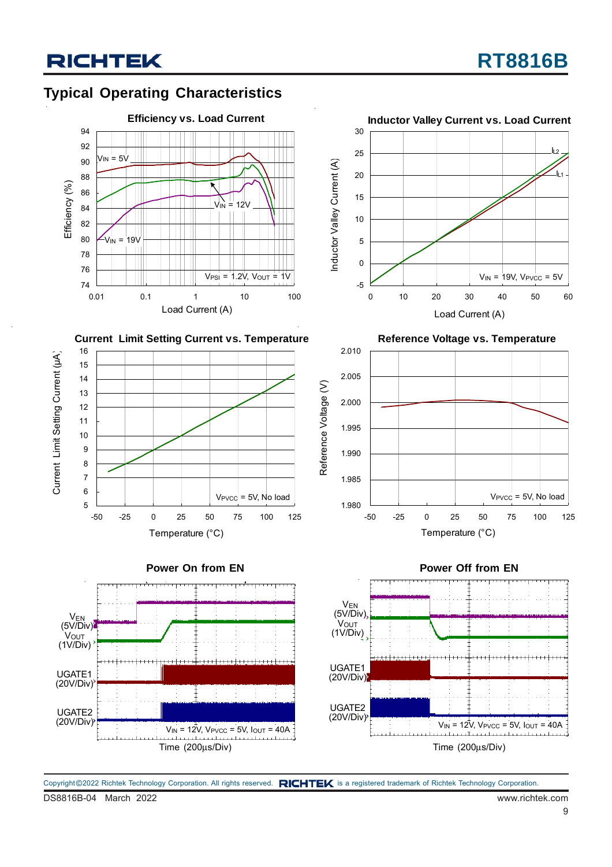### **Typical Operating Characteristics**



















DS8816B-04 March 2022 www.richtek.com Copyright ©2022 Richtek Technology Corporation. All rights reserved. RICHTEK is a registered trademark of Richtek Technology Corporation.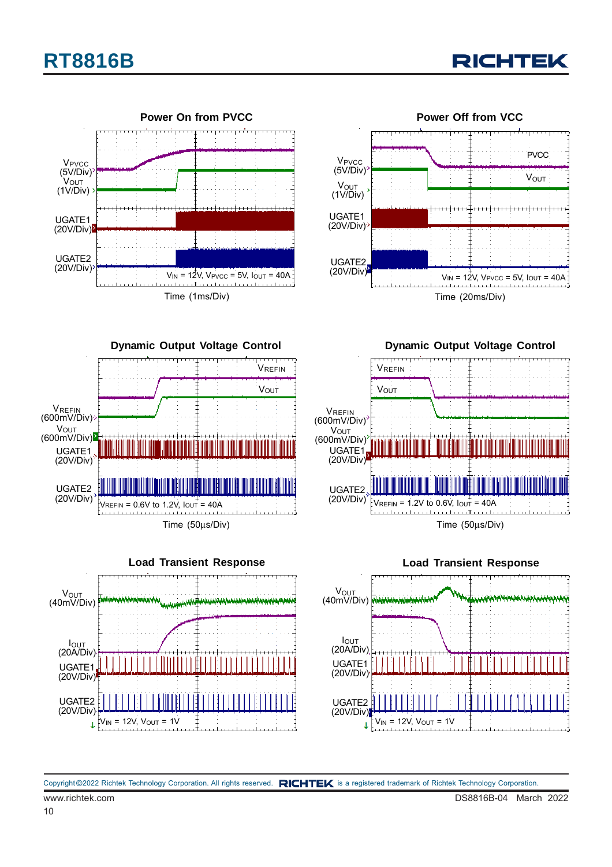## **RT8816B**





**Dynamic Output Voltage Control** Time (50μs/Div) UGATE1 (20V/Div)  $\frac{1}{2}$ VREFIN = 0.6V to 1.2V,  $I_{\text{OUT}} = 40$ A UGATE2 (20V/Div) **VOUT** (600mV/Div) **VREFIN** (600mV/Div) VREFIN VOUT



**Dynamic Output Voltage Control**





Copyright ©2022 Richtek Technology Corporation. All rights reserved. RICHTEK is a registered trademark of Richtek Technology Corporation.

10

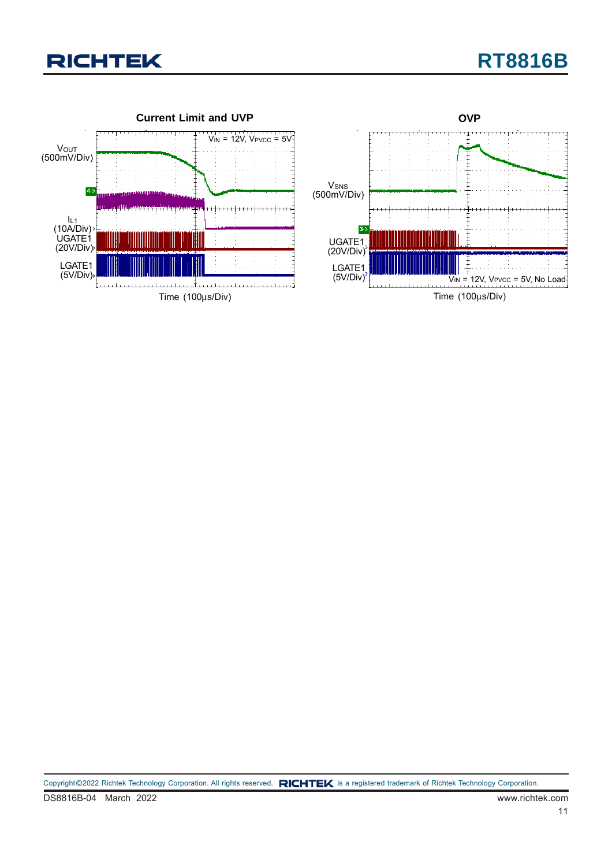

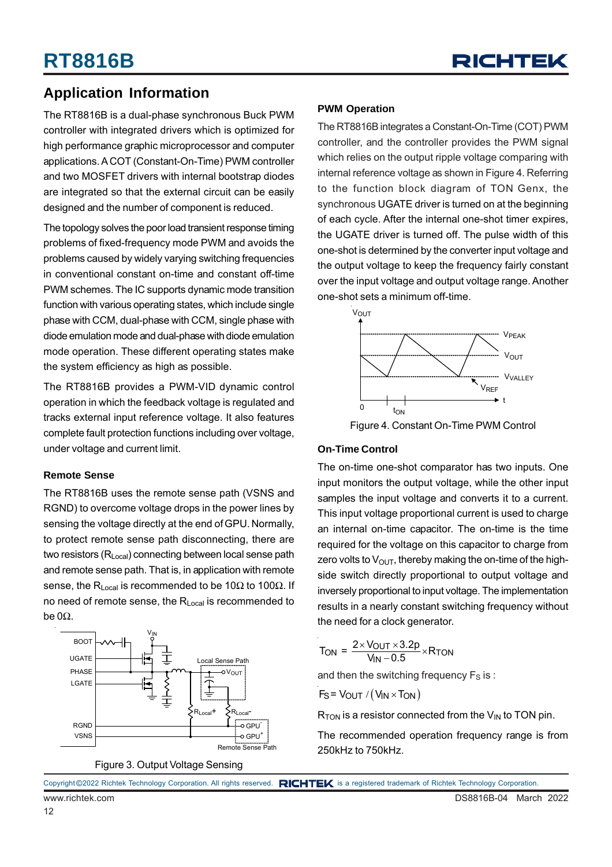

### **Application Information**

The RT8816B is a dual-phase synchronous Buck PWM controller with integrated drivers which is optimized for high performance graphic microprocessor and computer applications. A COT (Constant-On-Time) PWM controller and two MOSFET drivers with internal bootstrap diodes are integrated so that the external circuit can be easily designed and the number of component is reduced.

The topology solves the poor load transient response timing problems of fixed-frequency mode PWM and avoids the problems caused by widely varying switching frequencies in conventional constant on-time and constant off-time PWM schemes. The IC supports dynamic mode transition function with various operating states, which include single phase with CCM, dual-phase with CCM, single phase with diode emulation mode and dual-phase with diode emulation mode operation. These different operating states make the system efficiency as high as possible.

The RT8816B provides a PWM-VID dynamic control operation in which the feedback voltage is regulated and tracks external input reference voltage. It also features complete fault protection functions including over voltage, under voltage and current limit.

#### **Remote Sense**

The RT8816B uses the remote sense path (VSNS and RGND) to overcome voltage drops in the power lines by sensing the voltage directly at the end of GPU. Normally, to protect remote sense path disconnecting, there are two resistors (R<sub>Local</sub>) connecting between local sense path and remote sense path. That is, in application with remote sense, the R<sub>Local</sub> is recommended to be 10 $\Omega$  to 100 $\Omega$ . If no need of remote sense, the R<sub>Local</sub> is recommended to be 0Ω.



Figure 3. Output Voltage Sensing

#### **PWM Operation**

The RT8816B integrates a Constant-On-Time (COT) PWM controller, and the controller provides the PWM signal which relies on the output ripple voltage comparing with internal reference voltage as shown in Figure 4. Referring to the function block diagram of TON Genx, the synchronous UGATE driver is turned on at the beginning of each cycle. After the internal one-shot timer expires, the UGATE driver is turned off. The pulse width of this one-shot is determined by the converter input voltage and the output voltage to keep the frequency fairly constant over the input voltage and output voltage range. Another one-shot sets a minimum off-time.



Figure 4. Constant On-Time PWM Control

#### **On-Time Control**

The on-time one-shot comparator has two inputs. One input monitors the output voltage, while the other input samples the input voltage and converts it to a current. This input voltage proportional current is used to charge an internal on-time capacitor. The on-time is the time required for the voltage on this capacitor to charge from zero volts to  $V_{\text{OUT}}$ , thereby making the on-time of the highside switch directly proportional to output voltage and inversely proportional to input voltage. The implementation results in a nearly constant switching frequency without the need for a clock generator.

$$
T_{\text{ON}} = \frac{2 \times V_{\text{OUT}} \times 3.2p}{V_{\text{IN}} - 0.5} \times R_{\text{TON}}
$$

and then the switching frequency  $F_S$  is :

$$
F_S = V_{OUT} / (V_{IN} \times T_{ON})
$$

 $R_{TON}$  is a resistor connected from the  $V_{IN}$  to TON pin.

The recommended operation frequency range is from 250kHz to 750kHz.

|                 | Copyright ©2022 Richtek Technology Corporation. All rights reserved. RICHTEK is a registered trademark of Richtek Technology Corporation. |  |
|-----------------|-------------------------------------------------------------------------------------------------------------------------------------------|--|
| www.richtek.com | DS8816B-04 March 2022                                                                                                                     |  |

12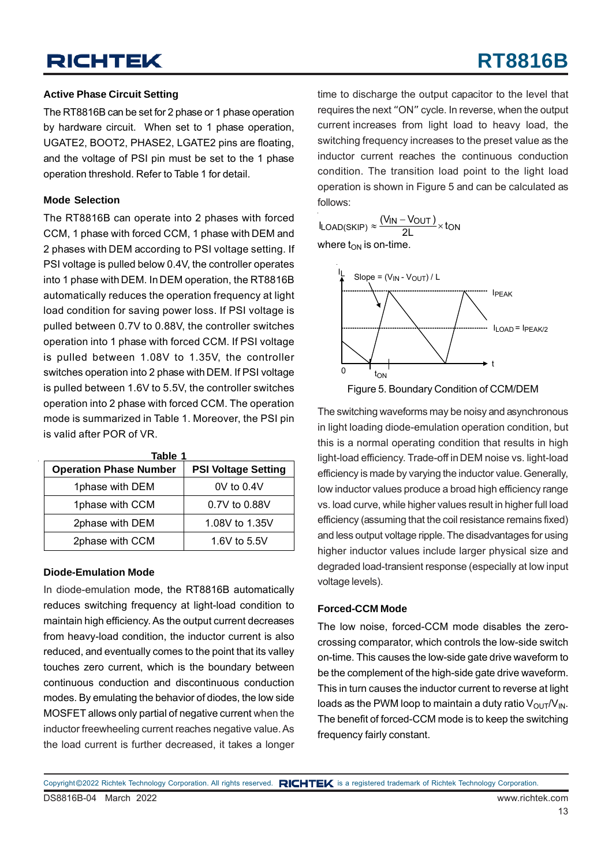## **RT8816B**

#### **Active Phase Circuit Setting**

The RT8816B can be set for 2 phase or 1 phase operation by hardware circuit. When set to 1 phase operation, UGATE2, BOOT2, PHASE2, LGATE2 pins are floating, and the voltage of PSI pin must be set to the 1 phase operation threshold. Refer to Table 1 for detail.

#### **Mode Selection**

The RT8816B can operate into 2 phases with forced CCM, 1 phase with forced CCM, 1 phase with DEM and 2 phases with DEM according to PSI voltage setting. If PSI voltage is pulled below 0.4V, the controller operates into 1 phase with DEM. In DEM operation, the RT8816B automatically reduces the operation frequency at light load condition for saving power loss. If PSI voltage is pulled between 0.7V to 0.88V, the controller switches operation into 1 phase with forced CCM. If PSI voltage is pulled between 1.08V to 1.35V, the controller switches operation into 2 phase with DEM. If PSI voltage is pulled between 1.6V to 5.5V, the controller switches operation into 2 phase with forced CCM. The operation mode is summarized in Table 1. Moreover, the PSI pin is valid after POR of VR.

| Table 1                       |                            |  |  |  |  |  |
|-------------------------------|----------------------------|--|--|--|--|--|
| <b>Operation Phase Number</b> | <b>PSI Voltage Setting</b> |  |  |  |  |  |
| 1phase with DEM               | $0V$ to $0.4V$             |  |  |  |  |  |
| 1phase with CCM               | 0.7V to 0.88V              |  |  |  |  |  |
| 2phase with DEM               | 1.08V to 1.35V             |  |  |  |  |  |
| 2phase with CCM               | 1.6V to $5.5V$             |  |  |  |  |  |

#### **Diode-Emulation Mode**

In diode-emulation mode, the RT8816B automatically reduces switching frequency at light-load condition to maintain high efficiency. As the output current decreases from heavy-load condition, the inductor current is also reduced, and eventually comes to the point that its valley touches zero current, which is the boundary between continuous conduction and discontinuous conduction modes. By emulating the behavior of diodes, the low side MOSFET allows only partial of negative current when the inductor freewheeling current reaches negative value. As the load current is further decreased, it takes a longer

time to discharge the output capacitor to the level that requires the next "ON" cycle. In reverse, when the output current increases from light load to heavy load, the switching frequency increases to the preset value as the inductor current reaches the continuous conduction condition. The transition load point to the light load operation is shown in Figure 5 and can be calculated as follows:

 $I_{\text{LOAD(SKIP)}} \approx \frac{(V_{\text{IN}} - V_{\text{OUT}})}{2L} \times \text{ton}$ where  $t_{ON}$  is on-time.



Figure 5. Boundary Condition of CCM/DEM

The switching waveforms may be noisy and asynchronous in light loading diode-emulation operation condition, but this is a normal operating condition that results in high light-load efficiency. Trade-off in DEM noise vs. light-load efficiency is made by varying the inductor value. Generally, low inductor values produce a broad high efficiency range vs. load curve, while higher values result in higher full load efficiency (assuming that the coil resistance remains fixed) and less output voltage ripple. The disadvantages for using higher inductor values include larger physical size and degraded load-transient response (especially at low input voltage levels).

#### **Forced-CCM Mode**

The low noise, forced-CCM mode disables the zerocrossing comparator, which controls the low-side switch on-time. This causes the low-side gate drive waveform to be the complement of the high-side gate drive waveform. This in turn causes the inductor current to reverse at light loads as the PWM loop to maintain a duty ratio  $V_{\text{OUT}}/V_{\text{IN}}$ . The benefit of forced-CCM mode is to keep the switching frequency fairly constant.

DS8816B-04 March 2022 www.richtek.com Copyright ©2022 Richtek Technology Corporation. All rights reserved. RICHTEK is a registered trademark of Richtek Technology Corporation.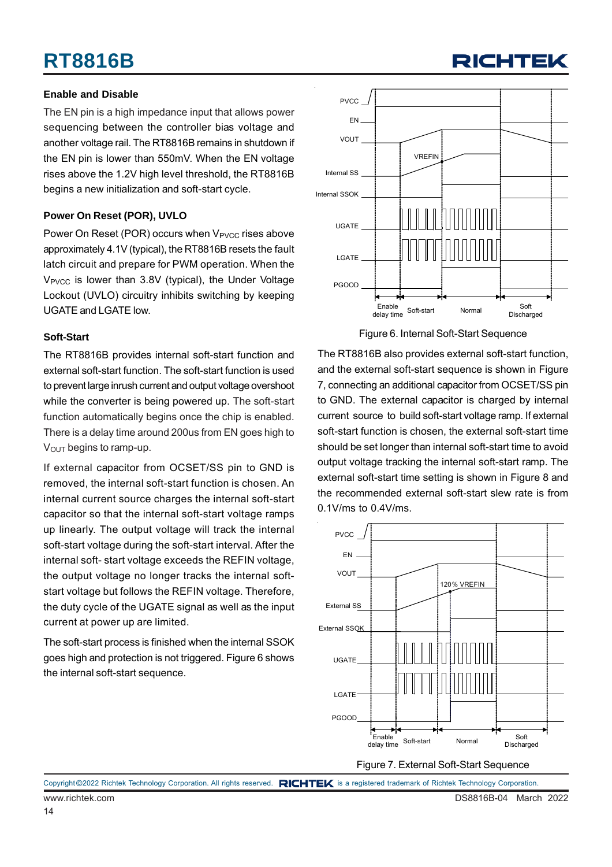## **RT8816B**

#### **Enable and Disable**

The EN pin is a high impedance input that allows power sequencing between the controller bias voltage and another voltage rail. The RT8816B remains in shutdown if the EN pin is lower than 550mV. When the EN voltage rises above the 1.2V high level threshold, the RT8816B begins a new initialization and soft-start cycle.

#### **Power On Reset (POR), UVLO**

Power On Reset (POR) occurs when V<sub>PVCC</sub> rises above approximately 4.1V (typical), the RT8816B resets the fault latch circuit and prepare for PWM operation. When the V<sub>PVCC</sub> is lower than 3.8V (typical), the Under Voltage Lockout (UVLO) circuitry inhibits switching by keeping UGATE and LGATE low.

#### **Soft-Start**

The RT8816B provides internal soft-start function and external soft-start function. The soft-start function is used to prevent large inrush current and output voltage overshoot while the converter is being powered up. The soft-start function automatically begins once the chip is enabled. There is a delay time around 200us from EN goes high to  $V<sub>OUT</sub>$  begins to ramp-up.

If external capacitor from OCSET/SS pin to GND is removed, the internal soft-start function is chosen. An internal current source charges the internal soft-start capacitor so that the internal soft-start voltage ramps up linearly. The output voltage will track the internal soft-start voltage during the soft-start interval. After the internal soft- start voltage exceeds the REFIN voltage, the output voltage no longer tracks the internal softstart voltage but follows the REFIN voltage. Therefore, the duty cycle of the UGATE signal as well as the input current at power up are limited.

The soft-start process is finished when the internal SSOK goes high and protection is not triggered. Figure 6 shows the internal soft-start sequence.



**RICHTEI** 

Figure 6. Internal Soft-Start Sequence

The RT8816B also provides external soft-start function, and the external soft-start sequence is shown in Figure 7, connecting an additional capacitor from OCSET/SS pin to GND. The external capacitor is charged by internal current source to build soft-start voltage ramp. If external soft-start function is chosen, the external soft-start time should be set longer than internal soft-start time to avoid output voltage tracking the internal soft-start ramp. The external soft-start time setting is shown in Figure 8 and the recommended external soft-start slew rate is from 0.1V/ms to 0.4V/ms.



Copyright ©2022 Richtek Technology Corporation. All rights reserved. RICHTEK is a registered trademark of Richtek Technology Corporation.

14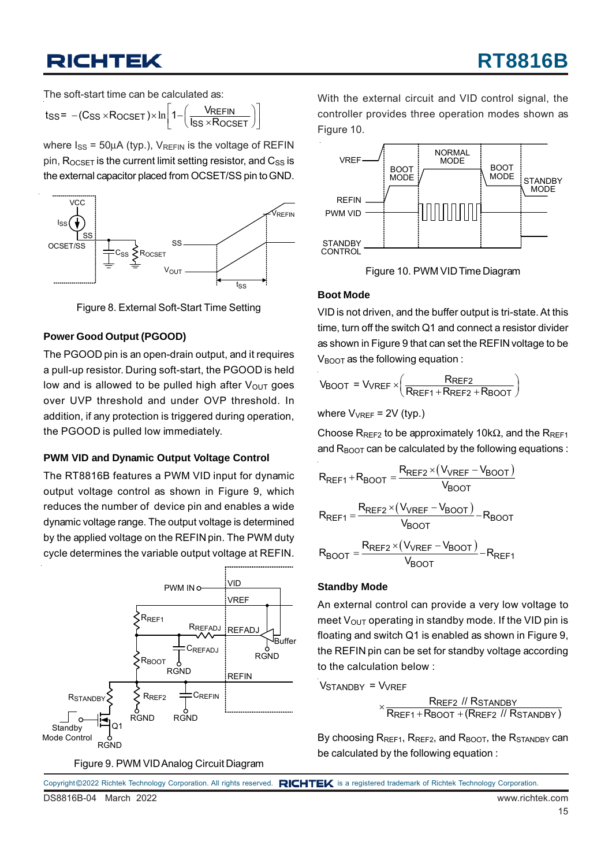The soft-start time can be calculated as:

$$
t_{SS} = -(C_{SS} \times R_{OCSET}) \times \ln\left[1 - \left(\frac{V_{REFIN}}{I_{SS} \times R_{OCSET}}\right)\right]
$$

where  $I_{SS} = 50\mu A$  (typ.),  $V_{REFIN}$  is the voltage of REFIN pin,  $R_{OCSET}$  is the current limit setting resistor, and  $C_{SS}$  is the external capacitor placed from OCSET/SS pin to GND.



Figure 8. External Soft-Start Time Setting

#### **Power Good Output (PGOOD)**

The PGOOD pin is an open-drain output, and it requires a pull-up resistor. During soft-start, the PGOOD is held low and is allowed to be pulled high after  $V_{\text{OUT}}$  goes over UVP threshold and under OVP threshold. In addition, if any protection is triggered during operation, the PGOOD is pulled low immediately.

#### **PWM VID and Dynamic Output Voltage Control**

The RT8816B features a PWM VID input for dynamic output voltage control as shown in Figure 9, which reduces the number of device pin and enables a wide dynamic voltage range. The output voltage is determined by the applied voltage on the REFIN pin. The PWM duty cycle determines the variable output voltage at REFIN.



Figure 9. PWM VID Analog Circuit Diagram

With the external circuit and VID control signal, the controller provides three operation modes shown as Figure 10.



Figure 10. PWM VID Time Diagram

#### **Boot Mode**

VID is not driven, and the buffer output is tri-state. At this time, turn off the switch Q1 and connect a resistor divider as shown in Figure 9 that can set the REFIN voltage to be  $V_{\text{BOOT}}$  as the following equation :

$$
V_{\text{BOOT}} = V_{\text{VREF}} \times \left(\frac{R_{\text{REF2}}}{R_{\text{REF1}} + R_{\text{REF2}} + R_{\text{BOOT}}}\right)
$$

where 
$$
V_{VREF} = 2V
$$
 (typ.)

Choose R<sub>REF2</sub> to be approximately 10k $\Omega$ , and the R<sub>REF1</sub> and  $R_{\text{BOOT}}$  can be calculated by the following equations :

$$
R_{REF1} + R_{BOOT} = \frac{R_{REF2} \times (V_{VREF} - V_{BOOT})}{V_{BOOT}}
$$
  

$$
R_{REF1} = \frac{R_{REF2} \times (V_{VREF} - V_{BOOT})}{V_{BOOT}} - R_{BOOT}
$$
  

$$
R_{BOOT} = \frac{R_{REF2} \times (V_{VREF} - V_{BOOT})}{V_{BOOT}} - R_{REF1}
$$

#### **Standby Mode**

An external control can provide a very low voltage to meet  $V_{\text{OUT}}$  operating in standby mode. If the VID pin is floating and switch Q1 is enabled as shown in Figure 9, the REFIN pin can be set for standby voltage according to the calculation below :

Vstandby = Vvref

 REF2 STANDBY  $\times \frac{\textsf{R}_\textsf{REF2} \textit{ // R}_\textsf{STANDBY}}{\textsf{R}_\textsf{REF1} + \textsf{R}_\textsf{BOOT} + (\textsf{R}_\textsf{REF2} \textit{ // R}_\textsf{STANDBY})}$ 

By choosing  $R_{REF1}$ ,  $R_{REF2}$ , and  $R_{BOOT}$ , the  $R_{STANDBY}$  can be calculated by the following equation :

|                       |  | Copyright ©2022 Richtek Technology Corporation. All rights reserved. RICHTEK is a registered trademark of Richtek Technology Corporation. |                 |  |
|-----------------------|--|-------------------------------------------------------------------------------------------------------------------------------------------|-----------------|--|
| DS8816B-04 March 2022 |  |                                                                                                                                           | www.richtek.com |  |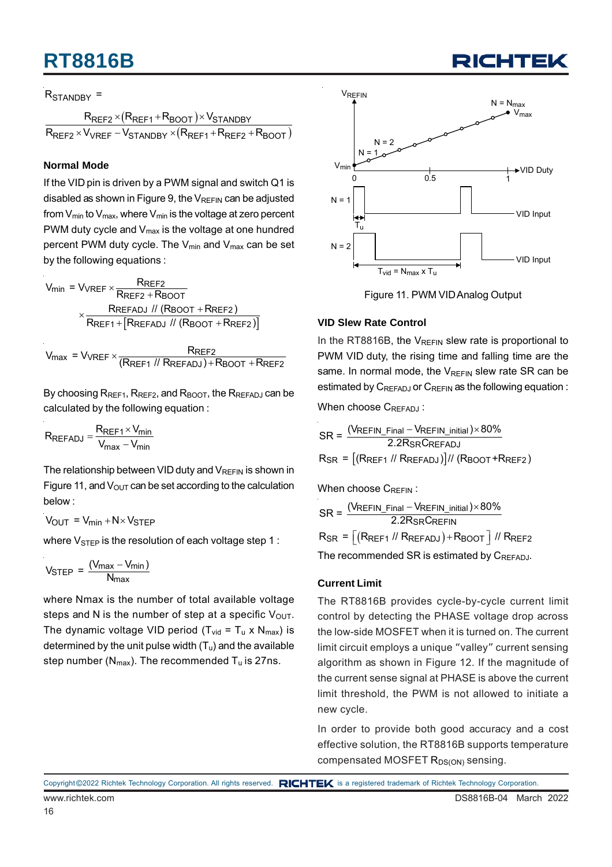## **RT8816B**

#### R<sub>STANDBY</sub> =

 $(R_{\mathsf{REF1}} + R_{\mathsf{BOOT}})$  $(R_{\mathsf{REF1}} + R_{\mathsf{REF2}} + R_{\mathsf{BOOT}})$ REF2 <sup>X</sup> (LREF1 <sup>+ R</sup>BOOT )<sup>X</sup> VSTANDBY REF2 <sup>X V</sup>VREF <sup>— V</sup>STANDBY <sup>X</sup> (**KREF1 † KREF2 † KBOOT**  $R_{\sf{RFF2}} \times (R_{\sf{RFF1}} + R_{\sf{BNOT}}) \times V_{\sf{S}}$  $R_{\sf{REF2}} \times V_{\sf{VREF}} - V_{\sf{STANDRY}} \times (R_{\sf{REF1}} + R_{\sf{REF2}} + R_{\sf{SFF3}})$  $\times$ (R<sub>RFF1</sub>+R<sub>BOOT</sub>) $\times$  $\times$   $V_{\text{VREF}}$  –  $V_{\text{STANNBY}}$   $\times$   $(R_{\text{RFF1}}$  +  $R_{\text{REF2}}$  +

#### **Normal Mode**

If the VID pin is driven by a PWM signal and switch Q1 is disabled as shown in Figure 9, the  $V_{REFIN}$  can be adjusted from  $V_{min}$  to  $V_{max}$ , where  $V_{min}$  is the voltage at zero percent PWM duty cycle and  $V_{\text{max}}$  is the voltage at one hundred percent PWM duty cycle. The  $V_{min}$  and  $V_{max}$  can be set by the following equations :

$$
V_{min} = V_{VREF} \times \frac{R_{REF2}}{R_{REF2} + R_{BOOT}}
$$

$$
\times \frac{R_{REFADJ} \text{ // (R_{BOOT} + R_{REF2})}}{R_{REF1} + [R_{REFADJ} \text{ // (R_{BOOT} + R_{REF2})}]}
$$

 $V_{\text{max}}$  =  $V_{\text{VREF}} \times \frac{R_{\text{REF2}}}{(R_{\text{REF1}} \text{ // } R_{\text{REFADJ}}) + R_{\text{BOOT}} + R_{\text{REF2}}}$ 

By choosing  $R_{REF1}$ ,  $R_{REF2}$ , and  $R_{BOOT}$ , the  $R_{REFADJ}$  can be calculated by the following equation :

$$
R_{REFADJ} = \frac{R_{REF1} \times V_{min}}{V_{max} - V_{min}}
$$

The relationship between VID duty and  $V_{RFFIN}$  is shown in Figure 11, and  $V_{\text{OUT}}$  can be set according to the calculation below :

$$
V_{OUT} = V_{min} + N \times V_{STEP}
$$

where  $V_{\text{STEP}}$  is the resolution of each voltage step 1 :

$$
V_{STEP} = \frac{(V_{max} - V_{min})}{N_{max}}
$$

where Nmax is the number of total available voltage steps and N is the number of step at a specific  $V_{\text{OUT}}$ . The dynamic voltage VID period ( $T_{vid} = T_u \times N_{max}$ ) is determined by the unit pulse width  $(T_u)$  and the available step number ( $N_{max}$ ). The recommended  $T_u$  is 27ns.



Figure 11. PWM VID Analog Output

#### **VID Slew Rate Control**

In the RT8816B, the  $V_{RFFIN}$  slew rate is proportional to PWM VID duty, the rising time and falling time are the same. In normal mode, the  $V_{REFIN}$  slew rate SR can be estimated by  $C_{REFADJ}$  or  $C_{REFIN}$  as the following equation :

When choose CREFADJ:

$$
SR = \frac{(V_{REFIN\_Final} - V_{REFIN\_initial}) \times 80\%}{2.2R_{SR}C_{REFADJ}}
$$
  

$$
R_{SR} = \frac{[(R_{REF1} \text{ // } R_{REFADJ})]}{K_{SR} + K_{REF2}}
$$

When choose CREEIN:

$$
SR = \frac{(V_{REFIN\_Final} - V_{REFIN\_initial}) \times 80\%}{2.2R_{SR}C_{REFIN}}
$$

$$
R_{SR} = \left[ \left( R_{REF1} / I_{RREFADJ} \right) + R_{BOOT} \right] / I_{RREF2}
$$

The recommended SR is estimated by CREFADJ.

#### **Current Limit**

The RT8816B provides cycle-by-cycle current limit control by detecting the PHASE voltage drop across the low-side MOSFET when it is turned on. The current limit circuit employs a unique "valley" current sensing algorithm as shown in Figure 12. If the magnitude of the current sense signal at PHASE is above the current limit threshold, the PWM is not allowed to initiate a new cycle.

In order to provide both good accuracy and a cost effective solution, the RT8816B supports temperature compensated MOSFET R<sub>DS(ON)</sub> sensing.

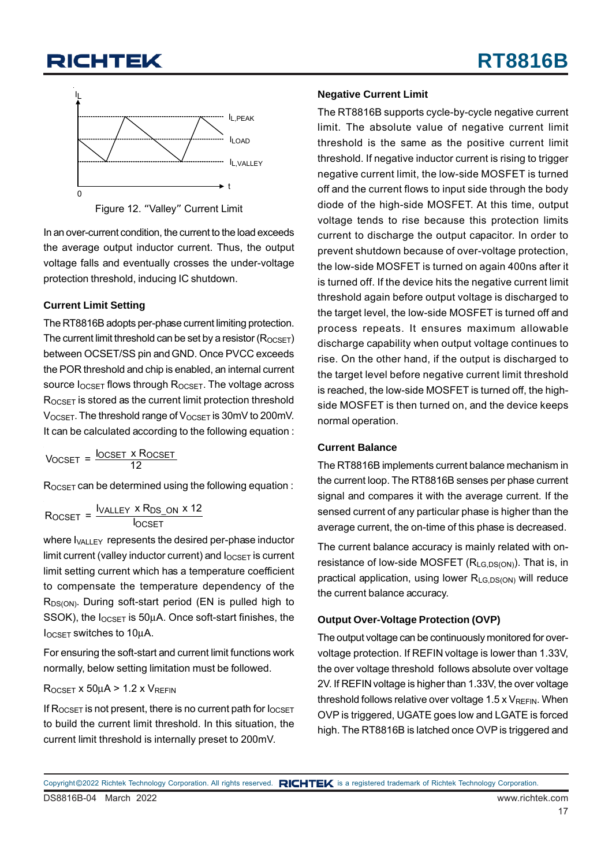

Figure 12. "Valley" Current Limit

In an over-current condition, the current to the load exceeds the average output inductor current. Thus, the output voltage falls and eventually crosses the under-voltage protection threshold, inducing IC shutdown.

#### **Current Limit Setting**

The RT8816B adopts per-phase current limiting protection. The current limit threshold can be set by a resistor  $(R_{OCSFT})$ between OCSET/SS pin and GND. Once PVCC exceeds the POR threshold and chip is enabled, an internal current source  $I_{OCSET}$  flows through R<sub>OCSET</sub>. The voltage across ROCSET is stored as the current limit protection threshold  $V_{OCSET}$ . The threshold range of  $V_{OCSET}$  is 30mV to 200mV. It can be calculated according to the following equation :

Vocset = <sup>l</sup>ocset x Rocset<br>12

ROCSET can be determined using the following equation :

$$
R_{OCSET} = \frac{I_{VALLEY} \times R_{DS\_ON} \times 12}{I_{OCSET}}
$$

where  $I_{VAII}$  FY represents the desired per-phase inductor limit current (valley inductor current) and  $I_{OCSET}$  is current limit setting current which has a temperature coefficient to compensate the temperature dependency of the R<sub>DS(ON)</sub>. During soft-start period (EN is pulled high to SSOK), the  $I_{OCSET}$  is 50 $\mu$ A. Once soft-start finishes, the IOCSET switches to 10μA.

For ensuring the soft-start and current limit functions work normally, below setting limitation must be followed.

#### $R_{OCSET}$  x 50 $\mu$ A > 1.2 x  $V_{REFIN}$

If  $R_{OCSET}$  is not present, there is no current path for  $I_{OCSET}$ to build the current limit threshold. In this situation, the current limit threshold is internally preset to 200mV.

#### **Negative Current Limit**

The RT8816B supports cycle-by-cycle negative current limit. The absolute value of negative current limit threshold is the same as the positive current limit threshold. If negative inductor current is rising to trigger negative current limit, the low-side MOSFET is turned off and the current flows to input side through the body diode of the high-side MOSFET. At this time, output voltage tends to rise because this protection limits current to discharge the output capacitor. In order to prevent shutdown because of over-voltage protection, the low-side MOSFET is turned on again 400ns after it is turned off. If the device hits the negative current limit threshold again before output voltage is discharged to the target level, the low-side MOSFET is turned off and process repeats. It ensures maximum allowable discharge capability when output voltage continues to rise. On the other hand, if the output is discharged to the target level before negative current limit threshold is reached, the low-side MOSFET is turned off, the highside MOSFET is then turned on, and the device keeps normal operation.

#### **Current Balance**

The RT8816B implements current balance mechanism in the current loop. The RT8816B senses per phase current signal and compares it with the average current. If the sensed current of any particular phase is higher than the average current, the on-time of this phase is decreased.

The current balance accuracy is mainly related with onresistance of low-side MOSFET  $(R_{LG,DS(ON)})$ . That is, in practical application, using lower  $R_{LG,DS(ON)}$  will reduce the current balance accuracy.

#### **Output Over-Voltage Protection (OVP)**

The output voltage can be continuously monitored for overvoltage protection. If REFIN voltage is lower than 1.33V, the over voltage threshold follows absolute over voltage 2V. If REFIN voltage is higher than 1.33V, the over voltage threshold follows relative over voltage  $1.5 \times V_{REFIN}$ . When OVP is triggered, UGATE goes low and LGATE is forced high. The RT8816B is latched once OVP is triggered and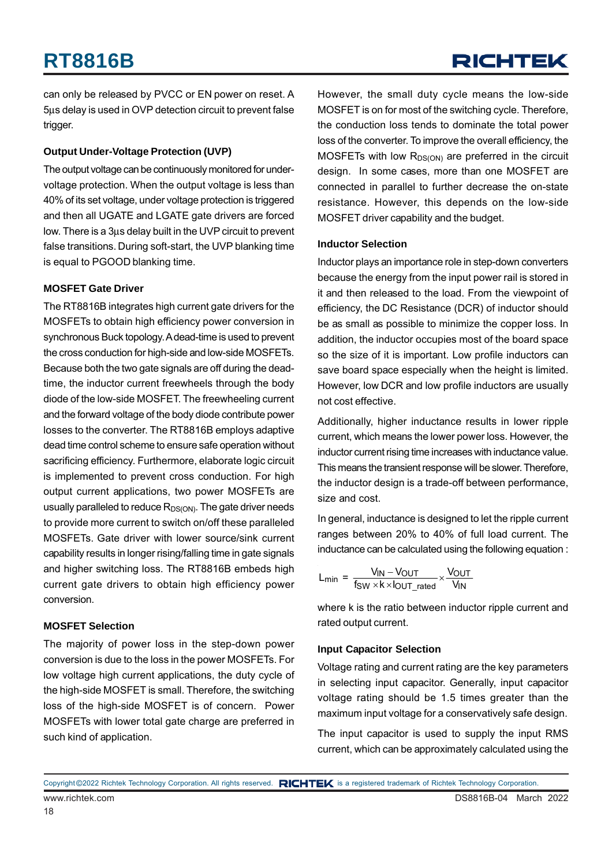can only be released by PVCC or EN power on reset. A 5μs delay is used in OVP detection circuit to prevent false trigger.

#### **Output Under-Voltage Protection (UVP)**

The output voltage can be continuously monitored for undervoltage protection. When the output voltage is less than 40% of its set voltage, under voltage protection is triggered and then all UGATE and LGATE gate drivers are forced low. There is a 3μs delay built in the UVP circuit to prevent false transitions. During soft-start, the UVP blanking time is equal to PGOOD blanking time.

#### **MOSFET Gate Driver**

The RT8816B integrates high current gate drivers for the MOSFETs to obtain high efficiency power conversion in synchronous Buck topology. A dead-time is used to prevent the cross conduction for high-side and low-side MOSFETs. Because both the two gate signals are off during the deadtime, the inductor current freewheels through the body diode of the low-side MOSFET. The freewheeling current and the forward voltage of the body diode contribute power losses to the converter. The RT8816B employs adaptive dead time control scheme to ensure safe operation without sacrificing efficiency. Furthermore, elaborate logic circuit is implemented to prevent cross conduction. For high output current applications, two power MOSFETs are usually paralleled to reduce  $R_{DS(ON)}$ . The gate driver needs to provide more current to switch on/off these paralleled MOSFETs. Gate driver with lower source/sink current capability results in longer rising/falling time in gate signals and higher switching loss. The RT8816B embeds high current gate drivers to obtain high efficiency power conversion.

#### **MOSFET Selection**

The majority of power loss in the step-down power conversion is due to the loss in the power MOSFETs. For low voltage high current applications, the duty cycle of the high-side MOSFET is small. Therefore, the switching loss of the high-side MOSFET is of concern. Power MOSFETs with lower total gate charge are preferred in such kind of application.

However, the small duty cycle means the low-side MOSFET is on for most of the switching cycle. Therefore, the conduction loss tends to dominate the total power loss of the converter. To improve the overall efficiency, the MOSFETs with low  $R_{DS(ON)}$  are preferred in the circuit design. In some cases, more than one MOSFET are connected in parallel to further decrease the on-state resistance. However, this depends on the low-side MOSFET driver capability and the budget.

#### **Inductor Selection**

Inductor plays an importance role in step-down converters because the energy from the input power rail is stored in it and then released to the load. From the viewpoint of efficiency, the DC Resistance (DCR) of inductor should be as small as possible to minimize the copper loss. In addition, the inductor occupies most of the board space so the size of it is important. Low profile inductors can save board space especially when the height is limited. However, low DCR and low profile inductors are usually not cost effective.

Additionally, higher inductance results in lower ripple current, which means the lower power loss. However, the inductor current rising time increases with inductance value. This means the transient response will be slower. Therefore, the inductor design is a trade-off between performance. size and cost.

In general, inductance is designed to let the ripple current ranges between 20% to 40% of full load current. The inductance can be calculated using the following equation :

$$
L_{min} = \frac{V_{IN} - V_{OUT}}{f_{SW} \times k \times l_{OUT\_rated}} \times \frac{V_{OUT}}{V_{IN}}
$$

where k is the ratio between inductor ripple current and rated output current.

#### **Input Capacitor Selection**

Voltage rating and current rating are the key parameters in selecting input capacitor. Generally, input capacitor voltage rating should be 1.5 times greater than the maximum input voltage for a conservatively safe design.

The input capacitor is used to supply the input RMS current, which can be approximately calculated using the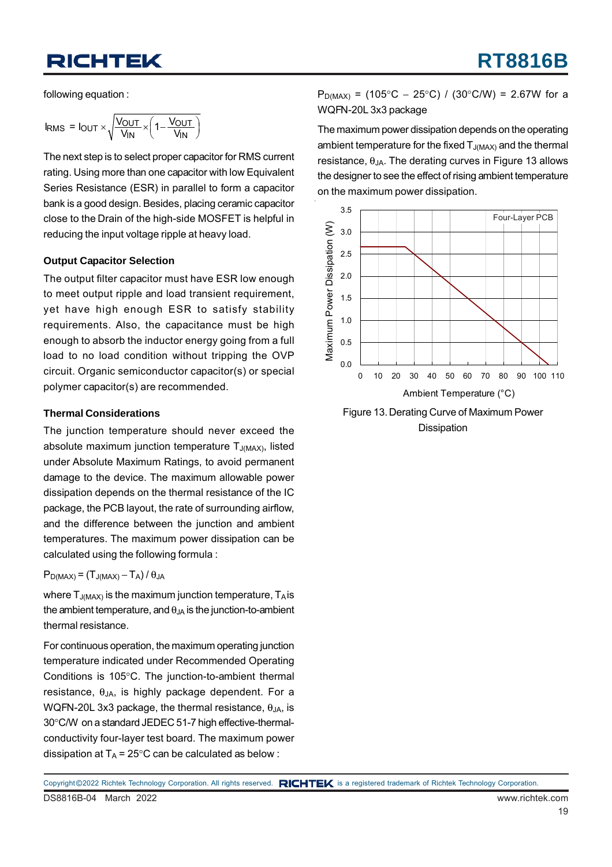following equation :

$$
I_{RMS} = I_{OUT} \times \sqrt{\frac{V_{OUT}}{V_{IN}} \times \left(1 - \frac{V_{OUT}}{V_{IN}}\right)}
$$

The next step is to select proper capacitor for RMS current rating. Using more than one capacitor with low Equivalent Series Resistance (ESR) in parallel to form a capacitor bank is a good design. Besides, placing ceramic capacitor close to the Drain of the high-side MOSFET is helpful in reducing the input voltage ripple at heavy load.

#### **Output Capacitor Selection**

The output filter capacitor must have ESR low enough to meet output ripple and load transient requirement, yet have high enough ESR to satisfy stability requirements. Also, the capacitance must be high enough to absorb the inductor energy going from a full load to no load condition without tripping the OVP circuit. Organic semiconductor capacitor(s) or special polymer capacitor(s) are recommended.

#### **Thermal Considerations**

The junction temperature should never exceed the absolute maximum junction temperature  $T_{J(MAX)}$ , listed under Absolute Maximum Ratings, to avoid permanent damage to the device. The maximum allowable power dissipation depends on the thermal resistance of the IC package, the PCB layout, the rate of surrounding airflow, and the difference between the junction and ambient temperatures. The maximum power dissipation can be calculated using the following formula :

#### $P_{D(MAX)} = (T_{J(MAX)} - T_A)/\theta_{JA}$

where  $T_{J(MAX)}$  is the maximum junction temperature,  $T_A$  is the ambient temperature, and  $\theta_{JA}$  is the junction-to-ambient thermal resistance.

For continuous operation, the maximum operating junction temperature indicated under Recommended Operating Conditions is 105°C. The junction-to-ambient thermal resistance,  $\theta_{JA}$ , is highly package dependent. For a WQFN-20L 3x3 package, the thermal resistance,  $\theta_{JA}$ , is 30°C/W on a standard JEDEC 51-7 high effective-thermalconductivity four-layer test board. The maximum power dissipation at  $T_A = 25^{\circ}$ C can be calculated as below :

 $P_{D(MAX)} = (105^{\circ}C - 25^{\circ}C) / (30^{\circ}C/W) = 2.67W$  for a WQFN-20L 3x3 package

The maximum power dissipation depends on the operating ambient temperature for the fixed  $T_{J(MAX)}$  and the thermal resistance,  $θ_{JA}$ . The derating curves in Figure 13 allows the designer to see the effect of rising ambient temperature on the maximum power dissipation.



Figure 13. Derating Curve of Maximum Power Dissipation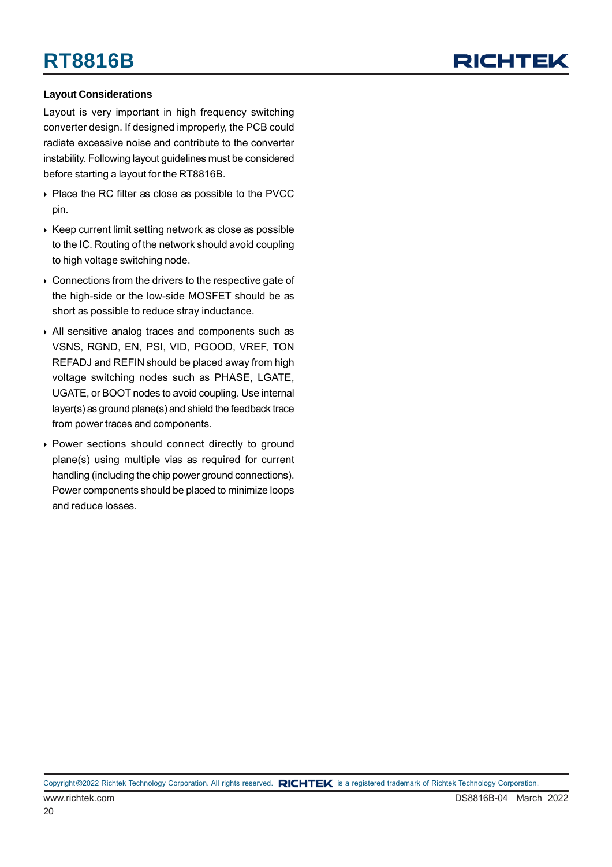## RICHTEL

#### **Layout Considerations**

Layout is very important in high frequency switching converter design. If designed improperly, the PCB could radiate excessive noise and contribute to the converter instability. Following layout guidelines must be considered before starting a layout for the RT8816B.

- ▶ Place the RC filter as close as possible to the PVCC pin.
- $\triangleright$  Keep current limit setting network as close as possible to the IC. Routing of the network should avoid coupling to high voltage switching node.
- ▶ Connections from the drivers to the respective gate of the high-side or the low-side MOSFET should be as short as possible to reduce stray inductance.
- All sensitive analog traces and components such as VSNS, RGND, EN, PSI, VID, PGOOD, VREF, TON REFADJ and REFIN should be placed away from high voltage switching nodes such as PHASE, LGATE, UGATE, or BOOT nodes to avoid coupling. Use internal layer(s) as ground plane(s) and shield the feedback trace from power traces and components.
- Power sections should connect directly to ground plane(s) using multiple vias as required for current handling (including the chip power ground connections). Power components should be placed to minimize loops and reduce losses.